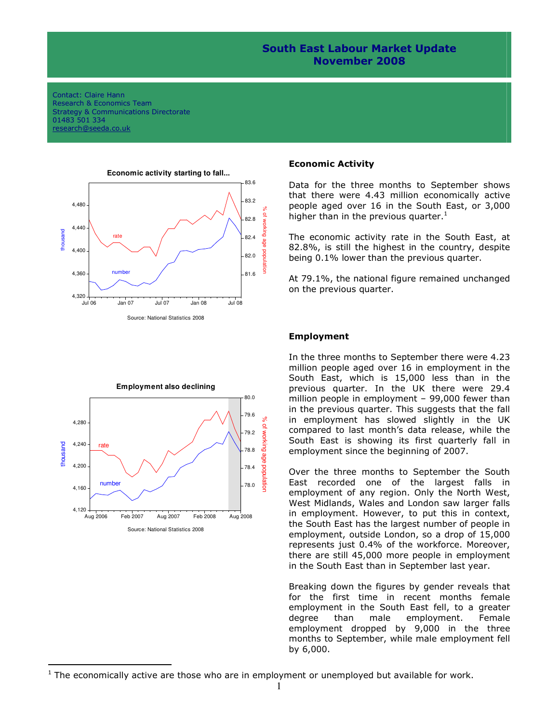## South East Labour Market Update November 2008

#### Contact: Claire Hann Research & Economics Team Strategy & Communications Directorate 01483 501 334 research@seeda.co.uk





l

#### Economic Activity

Data for the three months to September shows that there were 4.43 million economically active people aged over 16 in the South East, or 3,000 higher than in the previous quarter.<sup>1</sup>

The economic activity rate in the South East, at 82.8%, is still the highest in the country, despite being 0.1% lower than the previous quarter.

At 79.1%, the national figure remained unchanged on the previous quarter.

### Employment

In the three months to September there were 4.23 million people aged over 16 in employment in the South East, which is 15,000 less than in the previous quarter. In the UK there were 29.4 million people in employment – 99,000 fewer than in the previous quarter. This suggests that the fall in employment has slowed slightly in the UK compared to last month's data release, while the South East is showing its first quarterly fall in employment since the beginning of 2007.

Over the three months to September the South East recorded one of the largest falls in employment of any region. Only the North West, West Midlands, Wales and London saw larger falls in employment. However, to put this in context, the South East has the largest number of people in employment, outside London, so a drop of 15,000 represents just 0.4% of the workforce. Moreover, there are still 45,000 more people in employment in the South East than in September last year.

Breaking down the figures by gender reveals that for the first time in recent months female employment in the South East fell, to a greater degree than male employment. Female employment dropped by 9,000 in the three months to September, while male employment fell by 6,000.

 $1$  The economically active are those who are in employment or unemployed but available for work.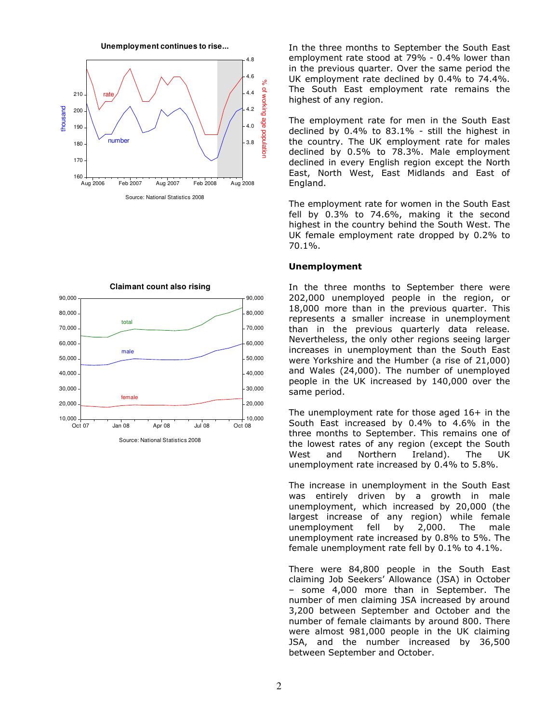



**Claimant count also rising**

**Unemployment continues to rise...** In the three months to September the South East employment rate stood at 79% - 0.4% lower than in the previous quarter. Over the same period the UK employment rate declined by 0.4% to 74.4%. The South East employment rate remains the highest of any region.

> The employment rate for men in the South East declined by 0.4% to 83.1% - still the highest in the country. The UK employment rate for males declined by 0.5% to 78.3%. Male employment declined in every English region except the North East, North West, East Midlands and East of England.

> The employment rate for women in the South East fell by 0.3% to 74.6%, making it the second highest in the country behind the South West. The UK female employment rate dropped by 0.2% to 70.1%.

#### Unemployment

In the three months to September there were 202,000 unemployed people in the region, or 18,000 more than in the previous quarter. This represents a smaller increase in unemployment than in the previous quarterly data release. Nevertheless, the only other regions seeing larger increases in unemployment than the South East were Yorkshire and the Humber (a rise of 21,000) and Wales (24,000). The number of unemployed people in the UK increased by 140,000 over the same period.

The unemployment rate for those aged 16+ in the South East increased by 0.4% to 4.6% in the three months to September. This remains one of the lowest rates of any region (except the South West and Northern Ireland). The UK unemployment rate increased by 0.4% to 5.8%.

The increase in unemployment in the South East was entirely driven by a growth in male unemployment, which increased by 20,000 (the largest increase of any region) while female unemployment fell by 2,000. The male unemployment rate increased by 0.8% to 5%. The female unemployment rate fell by 0.1% to 4.1%.

There were 84,800 people in the South East claiming Job Seekers' Allowance (JSA) in October – some 4,000 more than in September. The number of men claiming JSA increased by around 3,200 between September and October and the number of female claimants by around 800. There were almost 981,000 people in the UK claiming JSA, and the number increased by 36,500 between September and October.